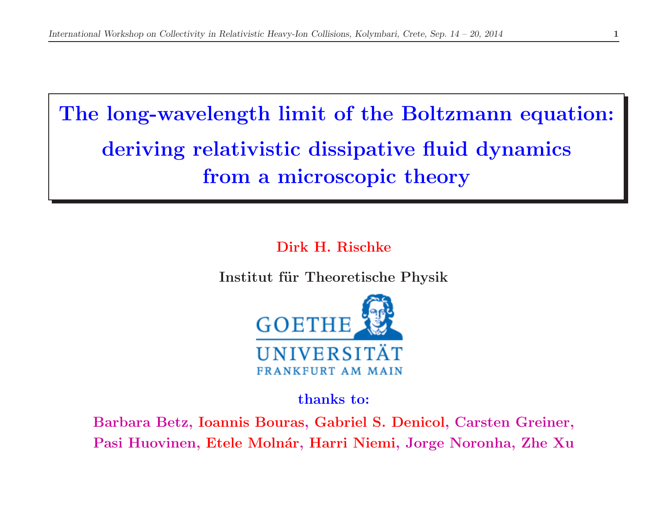The long-wavelength limit of the Boltzmann equation: deriving relativistic dissipative fluid dynamics from <sup>a</sup> microscopic theory

Dirk H. Rischke

Institut für Theoretische Physik



thanks to:

Barbara Betz, Ioannis Bouras, Gabriel S. Denicol, Carsten Greiner, Pasi Huovinen, Etele Molnár, Harri Niemi, Jorge Noronha, Zhe Xu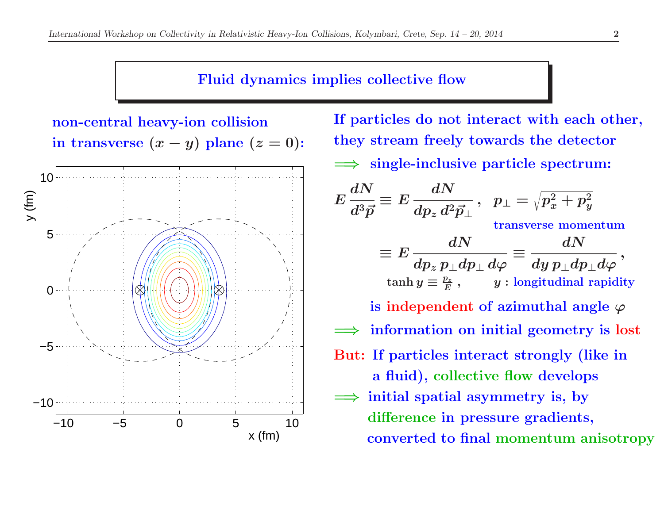## Fluid dynamics implies collective flow



non-central heavy-ion collision

If particles do not interact with each other, they stream freely towards the detector =⇒single-inclusive particle spectrum:

$$
E\frac{dN}{d^3\vec{p}} \equiv E\frac{dN}{dp_z d^2\vec{p}_\perp}, \quad p_\perp = \sqrt{p_x^2 + p_y^2}
$$
  
transverse momentum  

$$
\equiv E\frac{dN}{dp_z p_\perp dp_\perp d\varphi} \equiv \frac{dN}{dy p_\perp dp_\perp d\varphi},
$$
  
tanh  $y \equiv \frac{p_z}{E}$ ,  $y$ : longitudinal rapidity  
is independent of azimuthal angle  $\varphi$   
 $\implies$  information on initial geometry is lost  
But: If particles interact strongly (like in  
a fluid), collective flow develops  
 $\implies$  initial spatial asymmetry is, by  
difference in pressure gradients,

converted to final momentum anisotropy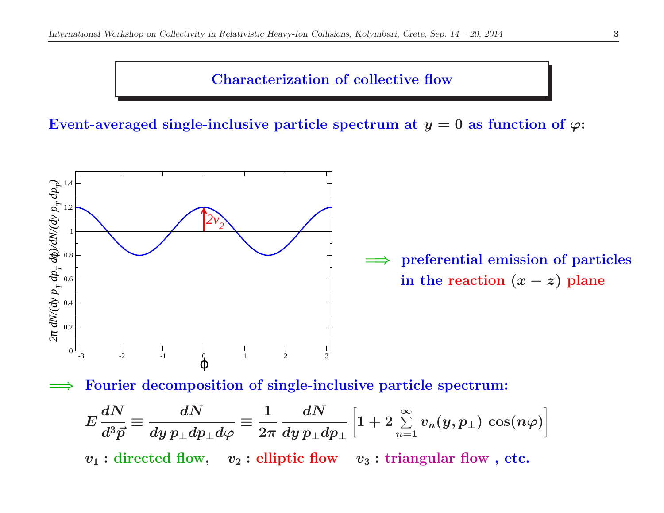## Characterization of collective flow

Event-averaged single-inclusive particle spectrum at  $y=0$  as function of  $\varphi$ :



 $\Rightarrow$  preferential emission of particles in the reaction  $(x - z)$  plane

=⇒Fourier decomposition of single-inclusive particle spectrum:

$$
E\frac{dN}{d^3\vec{p}}\equiv \frac{dN}{dy\,p_\perp dp_\perp d\varphi}\equiv \frac{1}{2\pi}\frac{dN}{dy\,p_\perp dp_\perp}\Big[1+2\mathop{\textstyle \sum}_{n=1}^\infty v_n(y,p_\perp)\,\cos(n\varphi)\Big]
$$

 $v_1:$  directed flow,  $v_2:$  elliptic flow  $v_3:$  triangular flow , etc.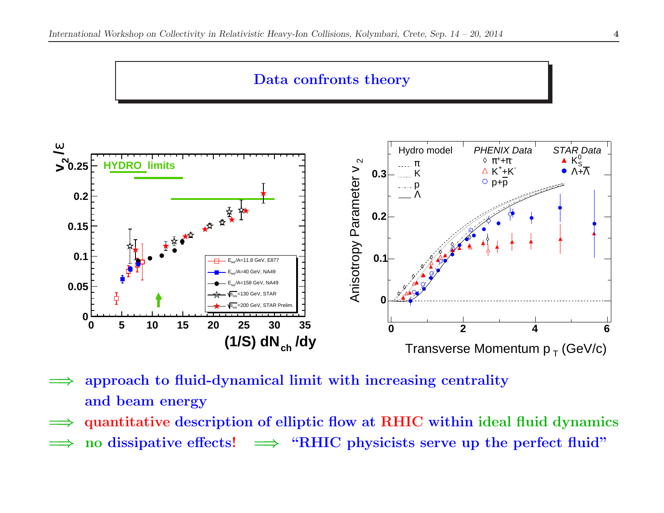#### Data confronts theory



- =⇒ approach to fluid-dynamical limit with increasing centrality and beam energy
- =⇒quantitative description of elliptic flow at RHIC within ideal fluid dynamics
- =⇒ $\Rightarrow$  no dissipative effects!  $\Rightarrow$  "RHIC physicists serve up the perfect fluid"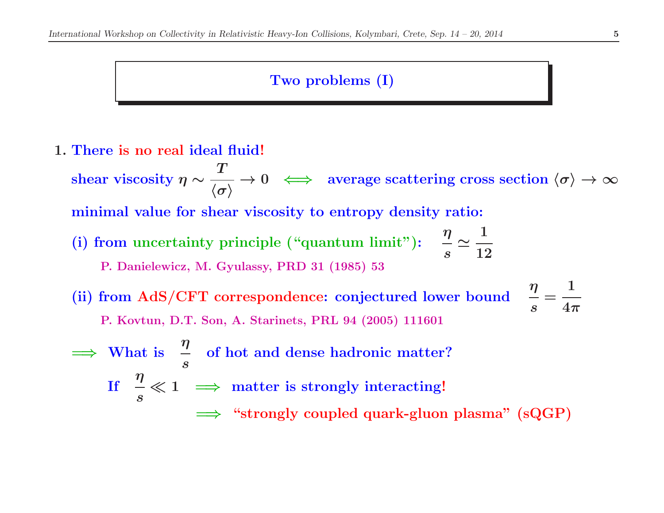## Two problems (I)

1. There is no real ideal fluid! shear viscosity  $\eta \sim$  $\bm{T}$  $\frac{\partial \Gamma}{\partial \langle \sigma \rangle} \to 0 \iff \text{average scattering cross section } \langle \sigma \rangle \to \infty$ minimal value for shear viscosity to entropy density ratio: (i) from uncertainty principle ("quantum limit"):  $\frac{\eta}{s}$ ≃1 12P. Danielewicz, M. Gyulassy, PRD <sup>31</sup> (1985) <sup>53</sup>(ii) from AdS/CFT correspondence: conjectured lower bound  $\frac{\eta}{s}$ =1 $4\pi$ P. Kovtun, D.T. Son, A. Starinets, PRL <sup>94</sup> (2005) <sup>111601</sup>=⇒ $\Rightarrow$  What is  $\frac{\eta}{s}$  of hot and dense hadronic matter?  $\text{If}\quad \frac{\eta}{s}\ll 1$  $\ll 1 \implies$  matter is strongly interacting!

 $\implies$  "strongly coupled quark-gluon plasma" (sQGP)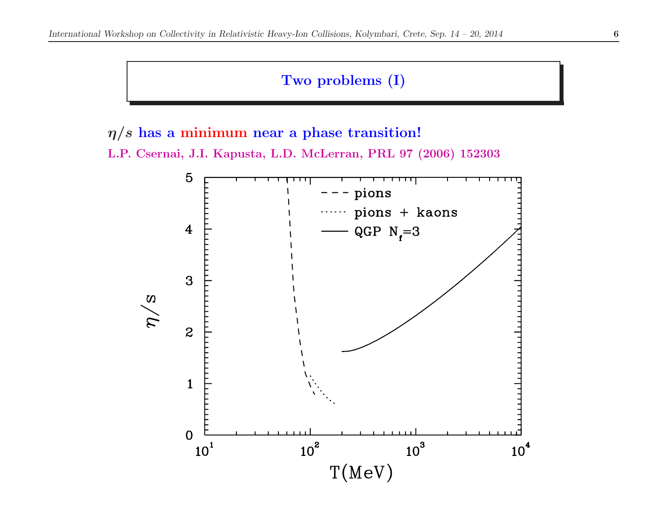## Two problems (I)

 $\eta/s$  has a minimum near a phase transition!

L.P. Csernai, J.I. Kapusta, L.D. McLerran, PRL <sup>97</sup> (2006) <sup>152303</sup>

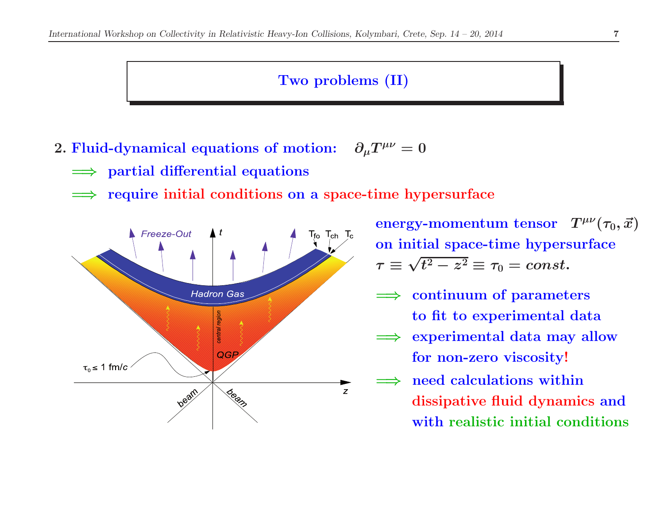#### Two problems (II)

- 2. Fluid-dynamical equations of motion:  $\;\;\partial_\mu T$  $\partial_{\mu}T^{\mu\nu}=0$ 
	- $\implies$  partial differential equations
	- =⇒require initial conditions on <sup>a</sup> space-time hypersurface



energy-momentum tensor  $T^{\mu\nu}(\tau_0, \vec{x})$ on initial space-time hypersurface $\tau \equiv \sqrt{t^2-z^2} \equiv \tau_0 = const.$ 

- $\implies$  continuum of parameters to fit to experimental data
- ⇒ experimental data may allow<br>for non goro viscosity! for non-zero viscosity!
- =⇒ need calculations within dissipative fluid dynamics andwith realistic initial conditions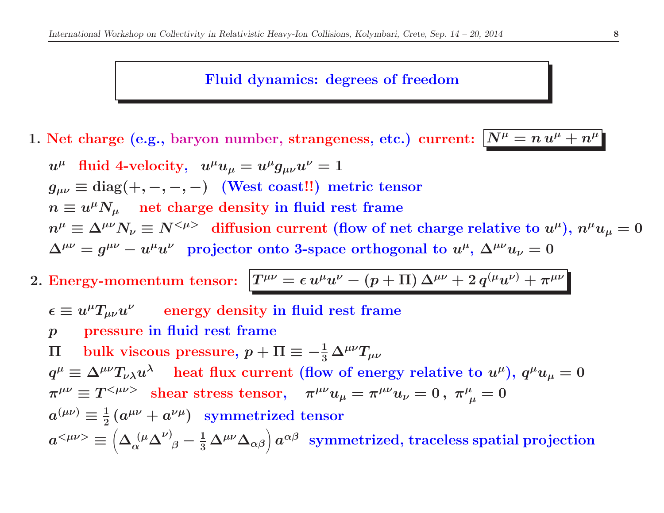#### Fluid dynamics: degrees of freedom

1. Net charge (e.g., baryon number, strangeness, etc.) current:  $N^{\mu} = n u^{\mu} + n^{\mu}$ 

- $u^{\mu}$  fluid 4-velocity,  $u^{\mu}u_{\mu} = u^{\mu}g_{\mu\nu}u^{\nu} = 1$  $g_{\mu\nu}\equiv{\rm diag}(+,-,-,-) \quad ({\rm West\; coast}!!)\ \ {\rm metric\; tensor}$  $n \equiv u^{\mu}N_{\mu}$  net charge density in fluid rest frame  $n^{\mu} \equiv \Delta^{\mu\nu} N_{\nu} \equiv N^{<\mu>}$  diffusion current (flow of net charge relative to  $u^{\mu}$ ),  $n^{\mu} u_{\mu} = 0$  $\Delta^{\mu\nu}=g^{\mu\nu}-u^\mu u^\nu \ \ \ \hbox{projector onto 3-space orthogonal to } u^\mu,\, \Delta^{\mu\nu}u_\nu=0$
- 2. Energy-momentum tensor:  $T^{\mu\nu} = \epsilon u^\mu u^\nu (p+\Pi) \, \Delta^{\mu\nu} + 2 \, q^{(\mu} u^{\nu)} + \pi^{\mu\nu}$ 
	- $\epsilon \equiv u^\mu T_{\mu\nu}u^\nu \qquad \text{energy density in fluid rest frame}$
	- $\boldsymbol{p}$ pressure in fluid rest frame

Πbulk viscous pressure,  $p + \Pi \equiv -\frac{1}{3} \Delta^{\mu\nu} T_{\mu\nu}$  $q^{\mu} \equiv \Delta^{\mu\nu} T_{\nu\lambda} u^{\lambda}$  heat flux current (flow of energy relative to  $u^{\mu}$ ),  $q^{\mu} u_{\mu} = 0$  $\pi^{\mu\nu}\equiv T^{<\mu\nu>}~~{\rm shear~stress~tensor},~~~~\pi^{\mu\nu}u_{\mu}=\pi^{\mu\nu}u_{\nu}=0~,~~\pi^{\mu}_{~~\mu}=0$  $a^{(\mu\nu)}\equiv\frac{1}{2}\left(a^{\mu\nu}+a^{\nu\mu}\right)\;\;\textrm{symmetriced tensor}$  $a^{<\mu\nu>} \equiv \left(\Delta_{\alpha}^{\phantom{\alpha}(\mu}\Delta^{\nu)}_{\phantom{\alpha}\beta} - \frac{1}{3}\Delta^{\mu\nu}\Delta_{\alpha\beta}\right)a^{\alpha\beta} \;\; {\rm symmetrized, \; traceless \; spatial \; projection}$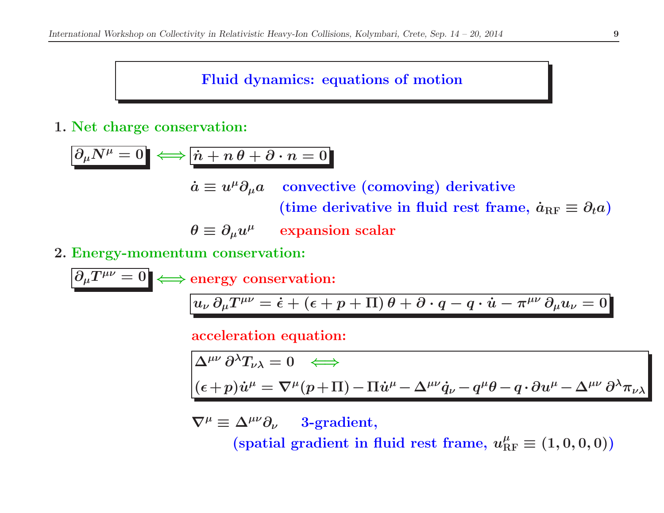# Fluid dynamics: equations of motion

# 1. Net charge conservation:

$$
\begin{aligned}\n\partial_{\mu}N^{\mu} &= 0 \iff \boxed{\dot{n} + n \theta + \partial \cdot n = 0} \\
\dot{a} &\equiv u^{\mu}\partial_{\mu}a \quad \text{convective (comoving) derivative} \\
(\text{time derivative in fluid rest frame}, \, \dot{a}_{\text{RF}} \equiv \partial_{t}a) \\
\theta &\equiv \partial_{\mu}u^{\mu} \quad \text{expansion scalar} \\
2. \text{ Energy-momentum conservation:} \\
\boxed{\partial_{\mu}T^{\mu\nu} = 0} \iff \text{energy conservation:}\n\end{aligned}
$$

$$
u^{T^{\mu\nu}} = 0 \iff \text{energy conservation:}
$$
\n
$$
u_{\nu} \, \partial_{\mu} T^{\mu\nu} = \dot{\epsilon} + (\epsilon + p + \Pi) \, \theta + \partial \cdot q - q \cdot \dot{u} - \pi^{\mu\nu} \, \partial_{\mu} u_{\nu} = 0
$$

acceleration equation:

$$
\Delta^{\mu\nu} \partial^{\lambda} T_{\nu\lambda} = 0 \iff
$$
  

$$
(\epsilon + p) \dot{u}^{\mu} = \nabla^{\mu} (p+ \Pi) - \Pi \dot{u}^{\mu} - \Delta^{\mu\nu} \dot{q}_{\nu} - q^{\mu} \theta - q \cdot \partial u^{\mu} - \Delta^{\mu\nu} \partial^{\lambda} \pi_{\nu\lambda}
$$

 $\nabla^{\mu}\equiv$ 3-gradient,

(spatial gradient in fluid rest frame,  $u_{\rm RF}^{\mu}\equiv(1,0,0,0))$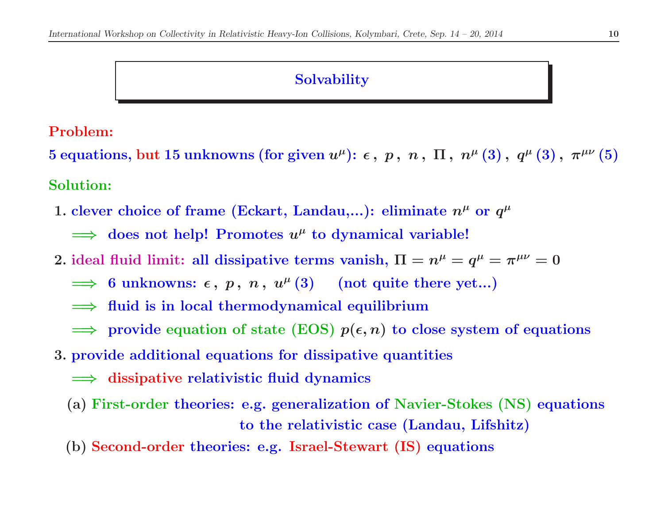## **Solvability**

## Problem:

5 equations, but 15 unknowns (for given  $u^\mu$ ):  $\epsilon$  ,  $p$  ,  $n$  ,  $\Pi$  ,  $n^\mu$   $(3)$  ,  $q^\mu$   $(3)$  ,  $\pi^{\mu\nu}$   $(5)$ Solution:

1. clever choice of frame (Eckart, Landau,...): eliminate  $n^\mu$  or  $q^\mu$ 

 $\implies$  does not help! Promotes  $u^{\mu}$  to dynamical variable!

- 2. ideal fluid limit: all dissipative terms vanish,  $\Pi = n^{\mu} = q^{\mu} = \pi^{\mu\nu} = 0$ 
	- $\implies$  6 unknowns:  $\epsilon$ ,  $p$ ,  $n$ ,  $u^{\mu}(3)$  (not quite there yet...)
	- ⇒ fluid is in local thermodynamical equilibrium
	- $\Rightarrow$  provide equation of state (EOS)  $p(\epsilon, n)$  to close system of equations
- 3. provide additional equations for dissipative quantities
	- ⇒ dissipative relativistic fluid dynamics
	- (a) First-order theories: e.g. generalization of Navier-Stokes (NS) equations to the relativistic case (Landau, Lifshitz)
	- (b) Second-order theories: e.g. Israel-Stewart (IS) equations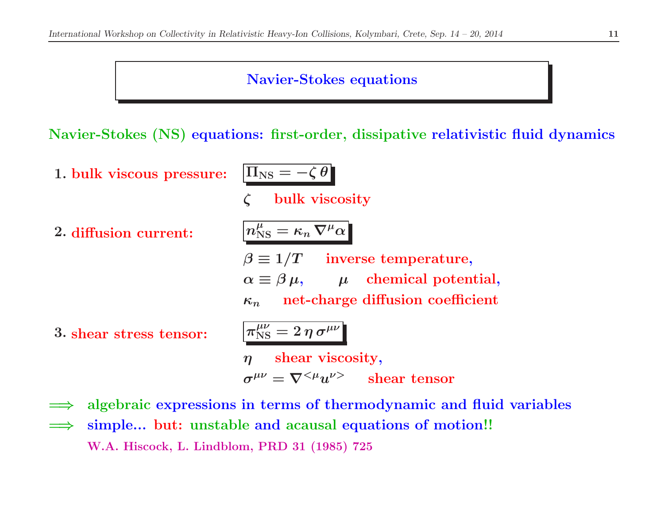#### Navier-Stokes equations

Navier-Stokes (NS) equations: first-order, dissipative relativistic fluid dynamics

1. bulk viscous pressure:  $\boxed{\Pi_{\rm NS}} =$ 

 $\left|\Pi_{\text{NS}}=-\zeta\,\theta\right|$ 

- $\mathcal{C}$ bulk viscosity
- 2. diffusion current:  $n_{\rm NS}^{\mu} =$
- $\left[n_{\rm NS}^\mu = \kappa_n \, \nabla^\mu \alpha \right]$ 
	- $\beta \equiv 1/T \quad \text{ inverse temperature},$  $\alpha \equiv \beta \, \mu, \qquad \mu \quad {\rm chemical \; potential},$  $\kappa_n$ net-charge diffusion coefficient
- 3. shear stress tensor:  $\pi_{\text{NS}}^{\mu\nu} = 2 \eta \sigma^{\mu\nu}$

ηshear viscosity,

$$
\sigma^{\mu\nu} = \nabla^{<\mu} u^{\nu>} \qquad \text{shear tensor}
$$

- =⇒algebraic expressions in terms of thermodynamic and fluid variables
- =⇒simple... but: unstable and acausal equations of motion!! W.A. Hiscock, L. Lindblom, PRD <sup>31</sup> (1985) <sup>725</sup>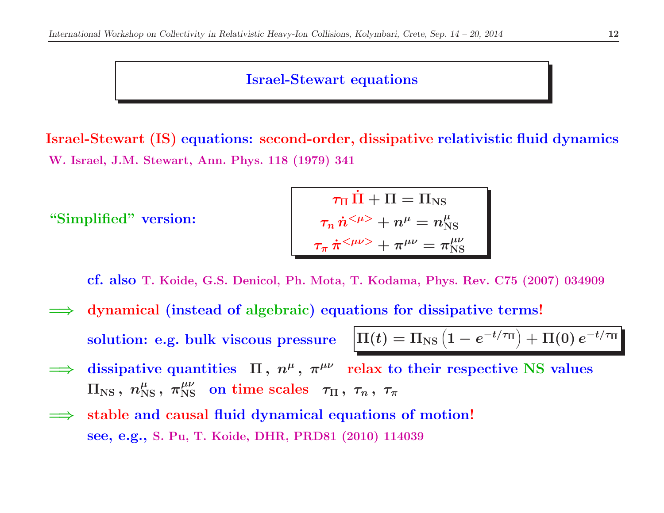#### Israel-Stewart equations

Israel-Stewart (IS) equations: second-order, dissipative relativistic fluid dynamics W. Israel, J.M. Stewart, Ann. Phys. <sup>118</sup> (1979) <sup>341</sup>

"Simplified" version:

$$
\begin{aligned} \tau_\Pi \, \dot{\Pi} + \Pi &= \Pi_\mathrm{NS} \\ \tau_n \, \dot{n}^{<\mu>} + n^\mu &= n^\mu_\mathrm{NS} \\ \tau_\pi \, \dot{\pi}^{<\mu\nu>} + \pi^{\mu\nu} &= \pi_\mathrm{NS}^{\mu\nu} \end{aligned}
$$

cf. also T. Koide, G.S. Denicol, Ph. Mota, T. Kodama, Phys. Rev. C75 (2007) <sup>034909</sup>

=⇒ dynamical (instead of algebraic) equations for dissipative terms! solution: e.g. bulk viscous pressure

$$
e \quad \left| \Pi(t) = \Pi_{\text{NS}} \left( 1 - e^{-t/\tau_{\text{II}}} \right) + \Pi(0) e^{-t/\tau_{\text{II}}} \right|
$$

- =⇒dissipative quantities  $\Pi$ ,  $n^{\mu}$ ,  $\pi^{\mu\nu}$  relax to their respective NS values  $\Pi_{\text{NS}}\,,\;n_{\text{NS}}^{\mu} \,,\;\pi_{\text{NS}}^{\mu\nu}\;\;\text{on time scales}\;\;\, \tau_{\Pi}\,,\;\tau_n\,,\;\tau_\pi$
- =⇒ stable and causal fluid dynamical equations of motion! see, e.g., S. Pu, T. Koide, DHR, PRD81 (2010) <sup>114039</sup>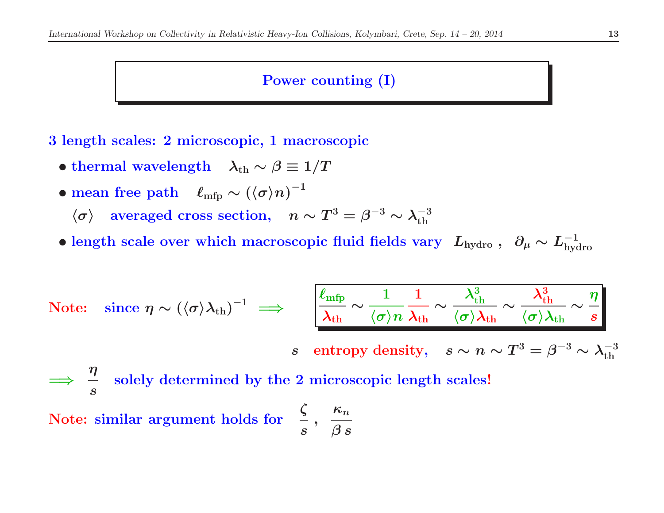#### Power counting (I)

<sup>3</sup> length scales: <sup>2</sup> microscopic, <sup>1</sup> macroscopic

- $\bullet$  thermal wavelength  $\lambda_{\rm th}\sim \beta\equiv 1/T$
- mean free path  $\ell_{\rm mfp} \sim (\langle \sigma \rangle n)^{-1}$ 
	- $\langle \sigma \rangle$  $\lambda$  averaged cross section,  $n \sim T^3 = \beta^{-3} \sim \lambda_{\rm th}^{-3}$
- length scale over which macroscopic fluid fields vary  $L_{\rm hydro}$ ,  $\partial_\mu \sim L_{\rm hydro}^{-1}$

Note: Since 
$$
\eta \sim (\langle \sigma \rangle \lambda_{\text{th}})^{-1} \implies \left[ \frac{\ell_{\text{mfp}}}{\lambda_{\text{th}}} \sim \frac{1}{\langle \sigma \rangle n} \frac{1}{\lambda_{\text{th}}} \sim \frac{\lambda_{\text{th}}^3}{\langle \sigma \rangle \lambda_{\text{th}}} \sim \frac{\lambda_{\text{th}}^3}{\langle \sigma \rangle \lambda_{\text{th}}} \sim \frac{\eta}{s} \right]
$$

s entropy density,  $s \sim n \sim T^3 = \beta^{-3} \sim \lambda_{\rm th}^{-3}$ 

=⇒ $\Rightarrow \frac{\eta}{s}$ ssolely determined by the <sup>2</sup> microscopic length scales!

Note:: similar argument holds for  $\frac{\zeta}{s}$ ,  $\kappa_n$  $\boldsymbol{\beta} \, \boldsymbol{s}$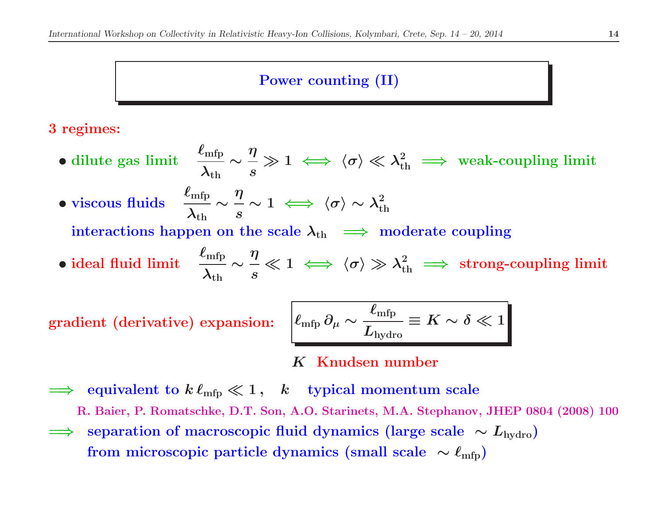### Power counting (II)

### <sup>3</sup> regimes:

- dilute gas limit  $\frac{\ell_{\rm mfp}}{\lambda_{\rm th}}\sim \frac{\eta}{s}$  $\gg 1 \iff \langle \sigma \rangle \ll \lambda_{\rm th}^2 \implies \text{weak-coupling limit}$
- viscous fluids  $\frac{\ell_{\rm mfp}}{\lambda_{\rm th}}\sim \frac{\eta}{s}$  $\sim 1 \iff \langle \sigma \rangle \sim \lambda_{\rm th}^2$

 $\text{interactions happen on the scale } \lambda_{\text{th}} \implies \text{moderate coupling}$ 

• ideal fluid limit  $\frac{\ell_{\rm mfp}}{\lambda_{\rm th}}\sim \frac{\eta}{s}$  $\ll 1 \iff \langle \sigma \rangle \gg \lambda_{\rm th}^2 \implies \hbox{strong-coupling limit}$ 

gradient (derivative) expansion:

$$
\boxed{\ell_{\rm mfp} \, \partial_\mu \sim \frac{\ell_{\rm mfp}}{L_{\rm hydro}} \equiv K \sim \delta \ll 1}
$$

# K Knudsen number

 $\implies$  equivalent to  $k\,\ell_{\rm mfp} \ll 1\,,\quad k\quad$  typical momentum scale

R. Baier, P. Romatschke, D.T. Son, A.O. Starinets, M.A. Stephanov, JHEP <sup>0804</sup> (2008) <sup>100</sup>

 $\Rightarrow$  separation of macroscopic fluid dynamics (large scale  $\sim L_{\text{hydro}}$ )<br>from microscopic particle dynamics (small scale  $\sim \ell$  ${\rm from\,\, microscopic\,\, particle\,\, dynamics\,\, (small\,\,scale\,\,\sim\,\ell_{\rm mfp})}$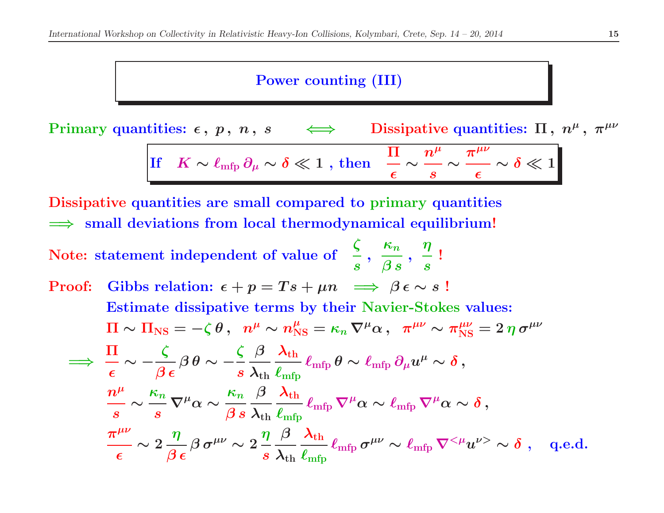## Power counting (III)

Primary quantities:  $\epsilon$ ,  $p$ ,  $n$ ,  $s \iff$ Dissipative quantities:  $\Pi$ ,  $n^{\mu}$ ,  $\pi^{\mu\nu}$ 

$$
\boxed{{\rm If}\quad K\sim \ell_{\rm mfp}\,\partial_\mu\sim \delta\ll 1\,\,,\,\text{then}\quad \frac{\Pi}{\epsilon}\sim \frac{n^\mu}{s}\sim \frac{\pi^{\mu\nu}}{\epsilon}\sim \delta\ll 1}
$$

 $\frac{\boldsymbol{\eta}}{\boldsymbol{s}}$ !<br>!

Dissipative quantities are small compared to primary quantities  $\implies$  small deviations from local thermodynamical equilibrium!

Note:statement independent of value of  $\frac{\zeta}{s}$ ,  $\kappa_n$  $\beta\,s\,$  '

Proof: Gibbs relation: 
$$
\epsilon + p = Ts + \mu n \implies \beta \epsilon \sim s
$$
!  
\nEstimate dissipative terms by their Navier-Stokes values:  
\n $\Pi \sim \Pi_{\text{NS}} = -\zeta \theta$ ,  $n^{\mu} \sim n_{\text{NS}}^{\mu} = \kappa_n \nabla^{\mu} \alpha$ ,  $\pi^{\mu\nu} \sim \pi_{\text{NS}}^{\mu\nu} = 2 \eta \sigma^{\mu\nu}$   
\n $\implies \frac{\Pi}{\epsilon} \sim -\frac{\zeta}{\beta \epsilon} \beta \theta \sim -\frac{\zeta}{s} \frac{\beta}{\lambda_{\text{th}}} \frac{\lambda_{\text{th}}}{\ell_{\text{mfp}}} \ell_{\text{mfp}} \theta \sim \ell_{\text{mfp}} \partial_{\mu} u^{\mu} \sim \delta$ ,  
\n $\frac{n^{\mu}}{s} \sim \frac{\kappa_n}{s} \nabla^{\mu} \alpha \sim \frac{\kappa_n}{\beta s} \frac{\beta}{\lambda_{\text{th}}} \frac{\lambda_{\text{th}}}{\ell_{\text{mfp}}} \ell_{\text{mfp}} \nabla^{\mu} \alpha \sim \ell_{\text{mfp}} \nabla^{\mu} \alpha \sim \delta$ ,  
\n $\frac{\pi^{\mu\nu}}{\epsilon} \sim 2 \frac{\eta}{\beta \epsilon} \beta \sigma^{\mu\nu} \sim 2 \frac{\eta}{s} \frac{\beta}{\lambda_{\text{th}}} \frac{\lambda_{\text{th}}}{\ell_{\text{mfp}}} \ell_{\text{mfp}} \sigma^{\mu\nu} \sim \ell_{\text{mfp}} \nabla^{<\mu} u^{\nu>} \sim \delta$ , q.e.d.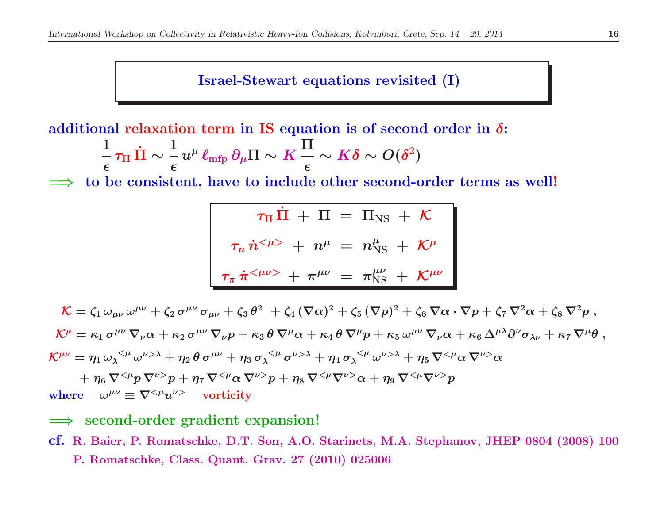Israel-Stewart equations revisited (I)

additional relaxation term in IS equation is of second order in  $\delta$ :

$$
\frac{1}{\epsilon} \, \tau_\Pi \, \dot{\Pi} \sim \frac{1}{\epsilon} \, u^\mu \, \ell_{\rm mfp} \, \partial_\mu \Pi \sim K \, \frac{\Pi}{\epsilon} \sim K \delta \sim O (\delta^2)
$$

 $\Rightarrow$  to be consistent, have to include other second-order terms as well! =⇒

$$
\tau_{\Pi} \dot{\Pi} + \Pi = \Pi_{\text{NS}} + \mathcal{K}
$$

$$
\tau_n \dot{n}^{<\mu>} + n^{\mu} = n^{\mu}_{\text{NS}} + \mathcal{K}^{\mu}
$$

$$
\tau_{\pi} \dot{\pi}^{<\mu\nu>} + \pi^{\mu\nu} = \pi^{\mu\nu}_{\text{NS}} + \mathcal{K}^{\mu\nu}
$$

 ${\cal K}=\zeta_1\,\omega_{\mu\nu}\,\omega^{\mu\nu}+\zeta_2\,\sigma^{\mu\nu}\,\sigma_{\mu\nu}+\zeta_3\,\theta^2\;+\zeta_4\,(\nabla\alpha)^2+\zeta_5\,(\nabla p)^2+\zeta_6\,\nabla\alpha\cdot\nabla p+\zeta_7\,\nabla^2\alpha+\zeta_8\,\nabla^2p\;,$  $\mathcal{K}^{\mu} = \kappa_1\,\sigma^{\mu\nu}\,\nabla_{\nu}\alpha + \kappa_2\,\sigma^{\mu\nu}\,\nabla_{\nu}p + \kappa_3\,\theta\,\nabla^{\mu}\alpha + \kappa_4\,\theta\,\nabla^{\mu}p + \kappa_5\,\omega^{\mu\nu}\,\nabla_{\nu}\alpha + \kappa_6\,\Delta^{\mu\lambda}\partial^{\nu}\sigma_{\lambda\nu} + \kappa_7\,\nabla^{\mu}\theta\;,$  $\mathcal{K}^{\mu\nu}=\eta_1\,\omega_\lambda^{~<\mu}\,\omega^{\nu>\lambda}+\eta_2\,\theta\,\sigma^{\mu\nu}+\eta_3\,\sigma_\lambda^{~<\mu}\,\sigma^{\nu>\lambda}+\eta_4\,\sigma_\lambda^{~<\mu}\,\omega^{\nu>\lambda}+\eta_5\,\nabla^{<\mu}\alpha\,\nabla^{\nu>}\alpha$  $+~\eta_6~\nabla^{<\mu}p~\nabla^{\nu>}p + \eta_7~\nabla^{<\mu}\alpha~\nabla^{\nu>}p + \eta_8~\nabla^{<\mu}\nabla^{\nu>} \alpha + \eta_9~\nabla^{<\mu}\nabla^{\nu>} p$ where  $\omega^{\mu\nu} \equiv \nabla^{<\mu} u^{\nu>}$  vorticity

# ⇒ second-order gradient expansion!

cf. R. Baier, P. Romatschke, D.T. Son, A.O. Starinets, M.A. Stephanov, JHEP <sup>0804</sup> (2008) <sup>100</sup>P. Romatschke, Class. Quant. Grav. <sup>27</sup> (2010) <sup>025006</sup>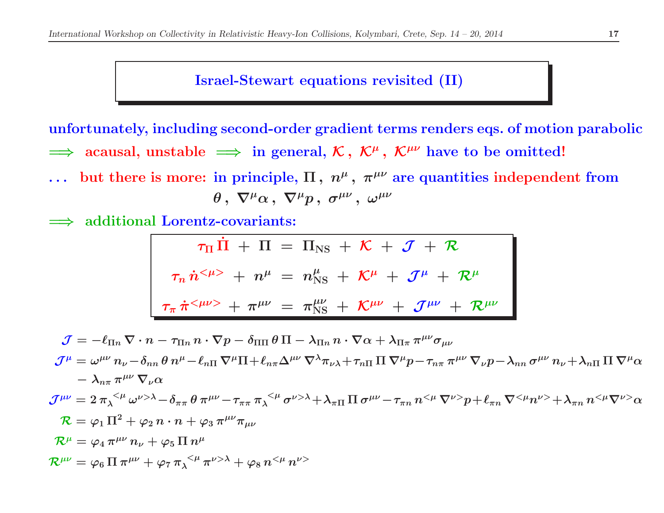#### Israel-Stewart equations revisited (II)

unfortunately, including second-order gradient terms renders eqs. of motion parabolic  $\implies$  acausal, unstable  $\implies$  in general,  $\mathcal{K},\ \mathcal{K}^{\mu},\ \mathcal{K}^{\mu\nu}$  have to be omitted!

- ... but there is more: in principle,  $\Pi$ ,  $n^{\mu}$ ,  $\pi^{\mu\nu}$  are quantities independent from  $\theta$ ,  $\nabla^{\mu} \alpha$ ,  $\nabla^{\mu} p$ ,  $\sigma^{\mu \nu}$ ,  $\omega^{\mu \nu}$
- =⇒additional Lorentz-covariants:

$$
\tau_{\Pi} \dot{\Pi} + \Pi = \Pi_{\text{NS}} + \mathcal{K} + \mathcal{J} + \mathcal{R}
$$
\n
$$
\tau_n \dot{n}^{<\mu>} + n^{\mu} = n^{\mu}_{\text{NS}} + \mathcal{K}^{\mu} + \mathcal{J}^{\mu} + \mathcal{R}^{\mu}
$$
\n
$$
\tau_n \dot{\pi}^{<\mu\nu>} + \pi^{\mu\nu} = \pi^{\mu\nu}_{\text{NS}} + \mathcal{K}^{\mu\nu} + \mathcal{J}^{\mu\nu} + \mathcal{R}^{\mu\nu}
$$

$$
\mathcal{J} = -\ell_{\Pi n} \nabla \cdot n - \tau_{\Pi n} n \cdot \nabla p - \delta_{\Pi \Pi} \theta \Pi - \lambda_{\Pi n} n \cdot \nabla \alpha + \lambda_{\Pi \pi} \pi^{\mu \nu} \sigma_{\mu \nu}
$$
\n
$$
\mathcal{J}^{\mu} = \omega^{\mu \nu} n_{\nu} - \delta_{nn} \theta n^{\mu} - \ell_{n\Pi} \nabla^{\mu} \Pi + \ell_{n\pi} \Delta^{\mu \nu} \nabla^{\lambda} \pi_{\nu \lambda} + \tau_{n\Pi} \Pi \nabla^{\mu} p - \tau_{n\pi} \pi^{\mu \nu} \nabla_{\nu} p - \lambda_{nn} \sigma^{\mu \nu} n_{\nu} + \lambda_{n\Pi} \Pi \nabla^{\mu} \alpha
$$
\n
$$
- \lambda_{n\pi} \pi^{\mu \nu} \nabla_{\nu} \alpha
$$
\n
$$
\mathcal{J}^{\mu \nu} = 2 \pi_{\lambda}^{\langle \mu} \omega^{\nu > \lambda} - \delta_{\pi \pi} \theta \pi^{\mu \nu} - \tau_{\pi \pi} \pi_{\lambda}^{\langle \mu} \sigma^{\nu > \lambda} + \lambda_{\pi \Pi} \Pi \sigma^{\mu \nu} - \tau_{\pi n} n^{\langle \mu} \nabla^{\nu >} p + \ell_{\pi n} \nabla^{\langle \mu} n^{\nu >} + \lambda_{\pi n} n^{\langle \mu} \nabla^{\nu >} \alpha
$$
\n
$$
\mathcal{R} = \varphi_1 \Pi^2 + \varphi_2 n \cdot n + \varphi_3 \pi^{\mu \nu} \pi_{\mu \nu}
$$
\n
$$
\mathcal{R}^{\mu} = \varphi_4 \pi^{\mu \nu} n_{\nu} + \varphi_5 \Pi n^{\mu}
$$
\n
$$
\mathcal{R}^{\mu \nu} = \varphi_6 \Pi \pi^{\mu \nu} + \varphi_7 \pi_{\lambda}^{\langle \mu} \pi^{\nu > \lambda} + \varphi_8 n^{\langle \mu} n^{\nu >}
$$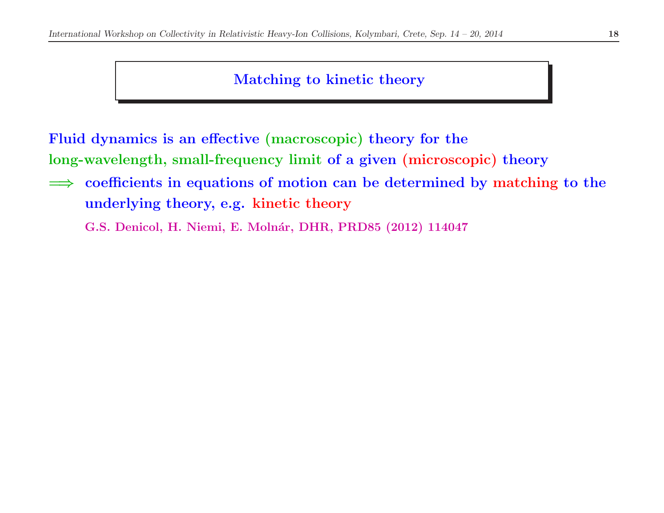# Matching to kinetic theory

Fluid dynamics is an effective (macroscopic) theory for the long-wavelength, small-frequency limit of <sup>a</sup> <sup>g</sup>iven (microscopic) theory

⇒ coefficients in equations of motion can be determined by matching to the<br>underlying theory  $\alpha$  s kinotic theory underlying theory, e.g. kinetic theory

G.S. Denicol, H. Niemi, E. Molnár, DHR, PRD85 (2012) 114047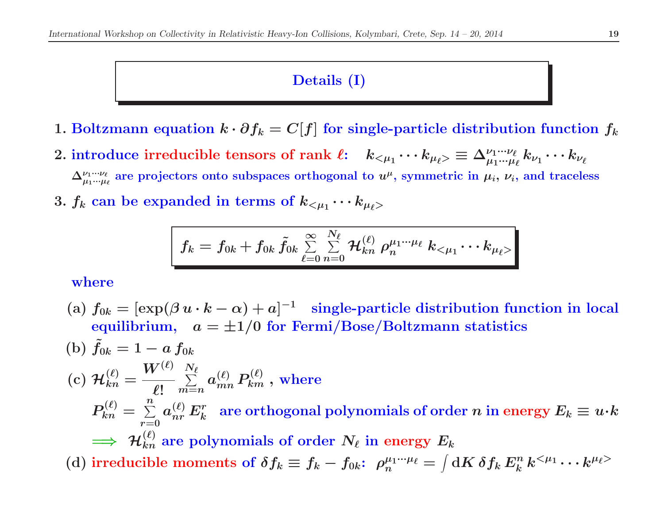## Details (I)

- 1. Boltzmann equation  $k \cdot \partial f_k = C[f]$  for single-particle distribution function  $f_k$
- $2.~{\rm introduce~ irreducible~ tensors~of~ rank}~~\ell; \quad k_{<\mu_1}\cdots k_{\mu_\ell>} \equiv \Delta^{\nu_1\cdots \nu_\ell}_{\mu_1\cdots \mu_\ell} k_{\nu_1}\cdots k_{\nu_\ell}$  $\Delta_{\mu_1\cdot\cdot\cdot\mu_\ell}^{\nu_1\cdot\cdot\cdot\nu_\ell}$  are projectors onto subspaces orthogonal to  $u^\mu$ , symmetric in  $\mu_i,$   $\nu_i,$  and traceless
- $3.~f_k$  can be expanded in terms of  $k_{<\mu_1}\cdots k_{\mu_\ell>}$

$$
f_k = f_{0k} + f_{0k} \, \tilde{f}_{0k} \, \textstyle \sum\limits_{\ell=0}^{\infty} \sum\limits_{n=0}^{N_\ell} \mathcal{H}_{kn}^{(\ell)} \, \rho_n^{\mu_1\cdots\mu_\ell} \, k_{<\mu_1}\cdots k_{\mu_\ell>}
$$

where

- (a)  $f_{0k} = [\exp(\beta u \cdot k \alpha) + a]^{-1}$  single-particle distribution function in local  ${\rm equilibrium},~~~a=\pm 1/0~{\rm for~Fermi/Base/Boltzmann~statistics}$
- (b)  $\tilde{f_0}$  $\delta_{0k}=1-a\,f_{0k}\,$  ${\rm (c)}\; {\cal H}^{(\ell)}_{kn} = \frac{W^{(\ell)}}{\ell!} \sum\limits_{m=n}^{N_\ell} a^{(\ell)}_{mn}\,P^{(\ell)}_{km} \; , \text{ where}$  $P_{kn}^{(\ell)} = \sum\limits_{r=0}^n a_{nr}^{(\ell)} \, E_k^r \; \; \text{are orthogonal polynomials of order $n$ in energy $E_k \equiv u \cdot k$}$  $\implies$   $\mathcal{H}_{kn}^{(\ell)}$  $\Rightarrow \; \mathcal{H}_{kn}^{(\ell)} \text{ are polynomials of order } N_{\ell} \text{ in energy } E_k$ (d) irreducible moments of  $\delta f_k \equiv f_k - f_{0k}$ :  $\rho_n^{\mu_1\cdots\mu_\ell} = \int \mathrm{d}K\, \delta f_k\, E^n_k\, k^{<\mu_1} \cdots k^{\mu_\ell>}$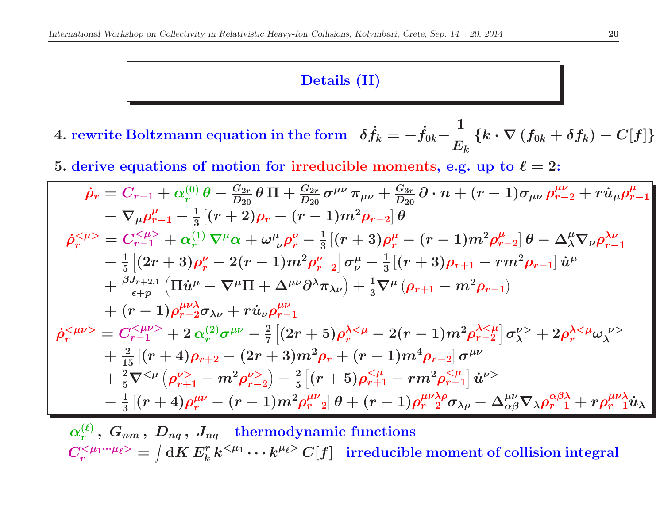#### Details (II)

- 4. rewrite Boltzmann equation in the form  $\delta \dot{f}_s$  $\dot{f}_k = -\dot{f}_k$  $0k^ -\frac{1}{E_{k}}\left\{ k\cdot\nabla\left(f_{0k}+\delta f_{k}\right)-C[f]\right\}$
- 5. derive equations of motion for irreducible moments, e.g. up to  $\ell=2$ :

$$
\dot{\rho}_{r} = C_{r-1} + \alpha_{r}^{(0)} \theta - \frac{G_{2r}}{D_{20}} \theta \Pi + \frac{G_{2r}}{D_{20}} \sigma^{\mu\nu} \pi_{\mu\nu} + \frac{G_{3r}}{D_{20}} \partial \cdot n + (r-1) \sigma_{\mu\nu} \rho_{r-2}^{\mu\nu} + r \dot{u}_{\mu} \rho_{r-1}^{\mu\nu}
$$
  
\n
$$
- \nabla_{\mu} \rho_{r-1}^{\mu} - \frac{1}{3} \left[ (r+2)\rho_{r} - (r-1)m^{2} \rho_{r-2} \right] \theta
$$
  
\n
$$
\dot{\rho}_{r}^{<\mu>} = C_{r-1}^{<\mu>} + \alpha_{r}^{(1)} \nabla^{\mu} \alpha + \omega_{\nu}^{\mu} \rho_{r}^{\nu} - \frac{1}{3} \left[ (r+3)\rho_{r}^{\mu} - (r-1)m^{2} \rho_{r-2}^{\mu} \right] \theta - \Delta_{\lambda}^{\mu} \nabla_{\nu} \rho_{r-1}^{\lambda\nu}
$$
  
\n
$$
- \frac{1}{5} \left[ (2r+3)\rho_{r}^{\nu} - 2(r-1)m^{2} \rho_{r-2}^{\nu} \right] \sigma_{\nu}^{\mu} - \frac{1}{3} \left[ (r+3)\rho_{r+1} - rm^{2} \rho_{r-1} \right] \dot{u}^{\mu}
$$
  
\n
$$
+ \frac{\beta J_{r+2,1}}{\epsilon_{r}p} \left( \Pi \dot{u}^{\mu} - \nabla^{\mu} \Pi + \Delta^{\mu\nu} \partial^{\lambda} \pi_{\lambda\nu} \right) + \frac{1}{3} \nabla^{\mu} (\rho_{r+1} - m^{2} \rho_{r-1})
$$
  
\n
$$
\dot{\rho}_{r}^{<\mu\nu>} = C_{r-1}^{<\mu\nu>} + 2 \alpha_{r}^{(2)} \sigma^{\mu\nu} - \frac{2}{7} \left[ (2r+5)\rho_{r}^{\lambda<\mu} - 2(r-1)m^{2} \rho_{r-2}^{\lambda<\mu} \right] \sigma_{\lambda}^{\lambda<\mu} + 2 \rho_{r}^{\lambda<\mu} \omega_{\lambda}^{\nu>} +
$$

 $\alpha_r^{(\ell)},~G_{nm}\,,~D_{nq}\,,~J_{nq}\quad {\rm thermodynamic~functions} \nonumber \ \sim \, 0.177~{\rm mW}^2 \sim 0.0141~{\rm cm}^{-3}$  $C^{<\mu_1\cdot\cdot\cdot\mu_\ell>}_{r}=\int \mathrm{d}K\, E_k^r\, k^{<\mu_1}\cdot\cdot\cdot k^{\mu_\ell>} \,C[f] \;\;\text{ irreducible moment of collision integral}$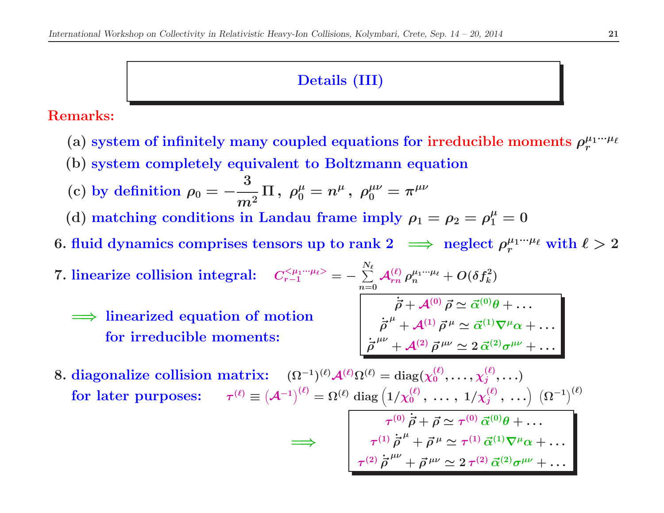## Details (III)

Remarks:

- (a) system of infinitely many coupled equations for irreducible moments  $\rho^{\mu_1\cdot\cdot\cdot\mu_\ell}_r$
- (b) system completely equivalent to Boltzmann equation
- (c) by definition  $\rho_0=-\frac{3}{m^2}$  $\Pi \, , \; \rho_0^{\mu} = n^{\mu} \, , \; \rho_0^{\mu\nu} = \pi^{\mu\nu}$
- (d) matching conditions in Landau frame imply  $\rho_1 = \rho_2 = \rho_1^{\mu} = 0$
- 6. fluid dynamics comprises tensors up to rank  $2\;\implies$  neglect  $\rho^{\mu_1\cdot\cdot\cdot\mu_\ell}_r$  with  $\ell>2$
- $7. \text{ linearize collision integral: } \quad C_{r-1}^{<\mu_1\cdot\cdot\cdot\mu_\ell>}=-\sum\limits_{n=0}^{r-1}$  $\frac{N_{\ell}}{N_{\ell}}$  $n{=}0$  $\dot{\vec{\rho}}$  $\mathcal{A}_{rn}^{(\ell)}\,\rho_n^{\mu_1\cdot\cdot\cdot\mu_\ell} + O(\delta f_k^2)$  $\implies$  linearized equation of motion for irreducible moments:  $\vec{\rho} + \mathcal{A}^{(0)} \vec{\rho} \simeq \vec{\alpha}^{(0)} \theta + \ldots$  $\vec{\rho}$  $\dot{\vec{\sigma}}^{\mu} + \mathcal{A}^{(1)}\vec{\rho}^{\,\mu} \simeq \vec{\alpha}^{(1)}\nabla^{\mu}\alpha + \ldots,$  $\dot{\vec{\rho}}^{\ \mu\nu}+\mathcal{A}^{(2)}\,\vec{\rho}^{\ \mu\nu}\simeq 2\,\vec{\alpha}^{(2)}\sigma^{\mu\nu}+\dots\,.$

8. diagonalize collision matrix:  $(\Omega^{-1})^{(\ell)} \mathcal{A}^{(\ell)} \Omega^{(\ell)} = \mathrm{diag}(\chi_0^{(\ell)}, \dots, \chi_j^{(\ell)}, \dots)$  $\textbf{for later purposes:} \hspace{5mm} \tau^{(\ell)} \equiv \left(\mathcal{A}^{-1}\right)^{(\ell)} = \Omega^{(\ell)} \text{ diag}\left(1/\chi^{(\ell)}_0\,,\ \dots\,,\ 1/\chi^{(\ell)}_j\,,\ \dots\right)\ \left(\Omega^{-1}\right)^{(\ell)}$ 

=⇒

$$
\frac{\tau^{(0)}\dot{\vec{\rho}} + \vec{\rho} \simeq \tau^{(0)}\,\vec{\alpha}^{(0)}\theta + \dots}{\tau^{(1)}\dot{\vec{\rho}}^{\,\mu} + \vec{\rho}^{\,\mu} \simeq \tau^{(1)}\,\vec{\alpha}^{(1)}\nabla^{\mu}\alpha + \dots}
$$
\n
$$
\tau^{(2)}\dot{\vec{\rho}}^{\,\mu\nu} + \vec{\rho}^{\,\mu\nu} \simeq 2\,\tau^{(2)}\,\vec{\alpha}^{(2)}\sigma^{\mu\nu} + \dots
$$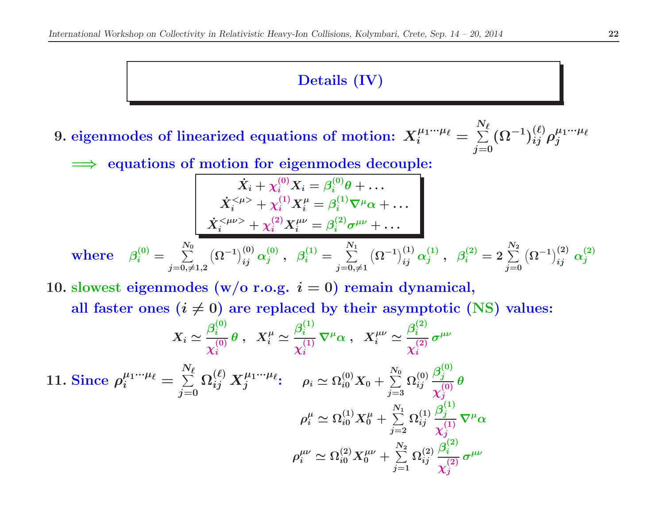# Details (IV)

9. eigenmodes of linearized equations of motion:  $X_i^{\mu_1\cdot\cdot\cdot\mu_\ell}=$  $\boldsymbol{N}$  $\sum$  $\tilde{\epsilon}$  $j{=}0$  $(\Omega^{-1})_{ij}^{(\ell)} \rho_j^{\mu_1\cdot\cdot\cdot\mu_\ell}$ 

=⇒equations of motion for eigenmodes decouple:

$$
\dot{X}_i + \chi_i^{(0)} X_i = \beta_i^{(0)} \theta + \dots
$$
\n
$$
\dot{X}_i^{<\mu>} + \chi_i^{(1)} X_i^{\mu} = \beta_i^{(1)} \nabla^{\mu} \alpha + \dots
$$
\n
$$
\dot{X}_i^{<\mu>} + \chi_i^{(2)} X_i^{\mu\nu} = \beta_i^{(2)} \sigma^{\mu\nu} + \dots
$$
\nwhere\n
$$
\beta_i^{(0)} = \sum_{j=0,\neq 1,2}^{N_0} (\Omega^{-1})_{ij}^{(0)} \alpha_j^{(0)}, \ \beta_i^{(1)} = \sum_{j=0,\neq 1}^{N_1} (\Omega^{-1})_{ij}^{(1)} \alpha_j^{(1)}, \ \beta_i^{(2)} = 2 \sum_{j=0}^{N_2} (\Omega^{-1})_{ij}^{(2)} \alpha_j^{(2)}
$$

10. slowest eigenmodes (w/o r.o.g.  $i=0$ ) remain dynamical,

all faster ones  $(i \neq 0)$  are replaced by their asymptotic (NS) values:

$$
X_{i} \simeq \frac{\beta_{i}^{(0)}}{\chi_{i}^{(0)}} \theta \ , \quad X_{i}^{\mu} \simeq \frac{\beta_{i}^{(1)}}{\chi_{i}^{(1)}} \nabla^{\mu} \alpha \ , \quad X_{i}^{\mu \nu} \simeq \frac{\beta_{i}^{(2)}}{\chi_{i}^{(2)}} \sigma^{\mu \nu}
$$
  
11. Since  $\rho_{i}^{\mu_{1} \cdots \mu_{\ell}} = \sum_{j=0}^{N_{\ell}} \Omega_{ij}^{(\ell)} X_{j}^{\mu_{1} \cdots \mu_{\ell}};$   $\rho_{i} \simeq \Omega_{i0}^{(0)} X_{0} + \sum_{j=3}^{N_{0}} \Omega_{ij}^{(0)} \frac{\beta_{j}^{(0)}}{\chi_{j}^{(0)}} \theta$   
 $\rho_{i}^{\mu} \simeq \Omega_{i0}^{(1)} X_{0}^{\mu} + \sum_{j=2}^{N_{1}} \Omega_{ij}^{(1)} \frac{\beta_{j}^{(1)}}{\chi_{j}^{(1)}} \nabla^{\mu} \alpha$   
 $\rho_{i}^{\mu \nu} \simeq \Omega_{i0}^{(2)} X_{0}^{\mu \nu} + \sum_{j=1}^{N_{2}} \Omega_{ij}^{(2)} \frac{\beta_{i}^{(2)}}{\chi_{j}^{(2)}} \sigma^{\mu \nu}$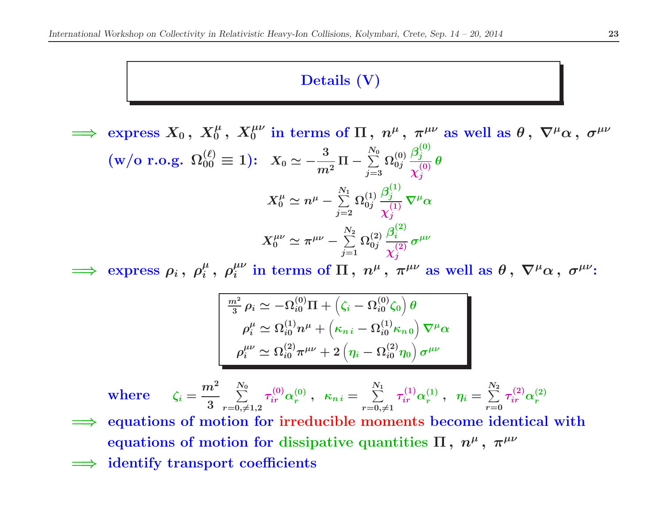#### Details (V)

=⇒express  $X_0\,,\;X_0^\mu\,,\;X_0^{\mu\nu}$  in terms of  $\Pi\,,\;n^\mu\,,\;\pi^{\mu\nu}$  as well as  $\theta\,,\;\nabla^\mu\alpha\,,\;\sigma^{\mu\nu}$  $\text{(w/o r.o.g. } \Omega_{00}^{(\ell)}\equiv 1)\text{: \ \ } X_0\simeq -\frac{3}{m^2}$  $\Pi-\sum\limits_{j=3}^{N_0}$  $\Omega^{(0)}_{0j}\, {\beta^{(0)}_j \over z^{(0)}_j}$  $\frac{f_j}{\chi_j^{(0)}} \theta$  $X_0^\mu \simeq n^\mu - \sum\limits_{j=2}^{N_1}$  $\Omega^{(1)}_{0j} \frac{\beta^{(1)}_j}{\gamma^{(1)}_j}$  $\frac{d}{\chi_j^{(1)}} \nabla^\mu \alpha$  $X^{\mu\nu}_{0} \simeq \pi^{\mu\nu} - \sum\limits_{j=1}^{N_2}$  $\Omega_{0j}^{(2)}\, \frac{\beta_i^{(2)}}{_{\sim(2)}}$  $\frac{\sqrt{-\iota}}{\chi_j^{(2)}} \, \sigma^{\mu\nu}$ 

=⇒express  $\rho_i$ ,  $\rho_i^{\mu}$ ,  $\rho_i^{\mu\nu}$  in terms of  $\Pi$ ,  $n^{\mu}$ ,  $\pi^{\mu\nu}$  as well as  $\theta$ ,  $\nabla^{\mu}\alpha$ ,  $\sigma^{\mu\nu}$ :

$$
\frac{m^2}{3}\rho_i \simeq -\Omega_{i0}^{(0)}\Pi + \left(\zeta_i - \Omega_{i0}^{(0)}\zeta_0\right)\theta
$$

$$
\rho_i^{\mu} \simeq \Omega_{i0}^{(1)}n^{\mu} + \left(\kappa_{n\,i} - \Omega_{i0}^{(1)}\kappa_{n\,0}\right)\nabla^{\mu}\alpha
$$

$$
\rho_i^{\mu\nu} \simeq \Omega_{i0}^{(2)}\pi^{\mu\nu} + 2\left(\eta_i - \Omega_{i0}^{(2)}\eta_0\right)\sigma^{\mu\nu}
$$

$$
\text{where}\qquad \zeta_i = \frac{m^2}{3}\sum_{r=0,\neq 1,2}^{N_0} \tau_{ir}^{(0)} \alpha_r^{(0)}\;,\;\; \kappa_{n\,i} = \sum_{r=0,\neq 1}^{N_1} \tau_{ir}^{(1)} \alpha_r^{(1)}\;,\;\; \eta_i = \sum_{r=0}^{N_2} \tau_{ir}^{(2)} \alpha_r^{(2)}
$$

- =⇒ equations of motion for irreducible moments become identical with equations of motion for dissipative quantities  $\Pi$  ,  $n^\mu$  ,  $\pi^{\mu\nu}$
- =⇒identify transport coefficients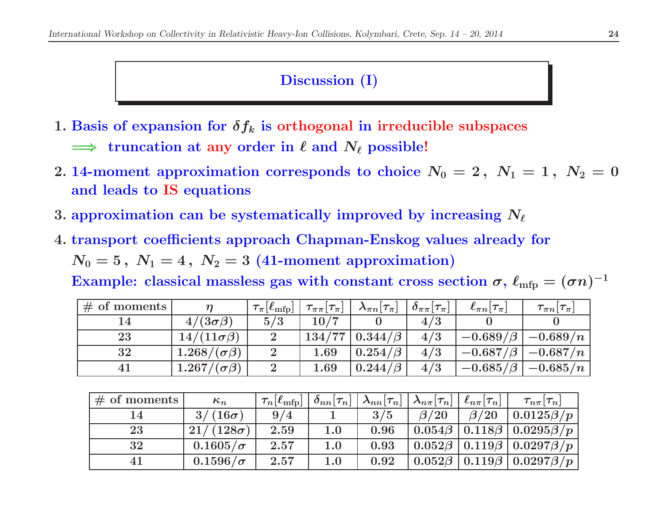## Discussion (I)

- 1. Basis of expansion for  $\delta f_k$  is orthogonal in irreducible subspaces
	- $\implies$  truncation at any order in  $\ell$  and  $N_\ell$  possible!
- 2. 14-moment approximation corresponds to choice  $N_0 = 2, N_1 = 1, N_2 = 0$ and leads to IS equations
- 3. approximation can be systematically improved by increasing  $N_\ell$
- 4. transport coefficients approach Chapman-Enskog values already for

 $N_0=5\,,\;N_1=4\,,\;N_2=3\;(41\hbox{-moment approximation})$ 

Example: classical massless gas with constant cross section  $\sigma, \, \ell_{\rm mfp} = (\sigma n)^{-1}$ 

| $\#$ of moments |                       | $\tau_{\pi}$ [ $\ell_{\rm mfp}$ ] | $\tau_{\pi\pi}[\tau_{\pi}]$ | $\boldsymbol{\lambda}_{\pi n}[\boldsymbol{\tau}_{\pi}]$ | $\partial_{\pi\pi}[\tau_{\pi}]$ | $\ell_{\pi n}[\tau_{\pi}]$ | $\tau_{\pi n}[\tau_{\pi}]$ |
|-----------------|-----------------------|-----------------------------------|-----------------------------|---------------------------------------------------------|---------------------------------|----------------------------|----------------------------|
|                 | $4/(3\sigma\beta)$    | 5/3                               | 10/7                        |                                                         | 4/3                             |                            |                            |
| 23              | $14/(11\sigma\beta)$  | $\overline{2}$                    | 134/77                      | $0.344/\beta$                                           | 4/3                             | $-0.689/\beta$             | $-0.689/n$                 |
| 32              | $1.268/(\sigma\beta)$ |                                   | 1.69                        | $0.254/\beta$                                           | 4/3                             | $-0.687/\beta$             | $-0.687/n$                 |
| 41              | $1.267/(\sigma\beta)$ |                                   | $1.69\,$                    | $0.244/\beta$                                           | 4/3                             | $-0.685/\beta$             | $-0.685/n$                 |

| $\#$ of moments | $\kappa_n$       | $\tau_n \ell_{\text{mfp}} $ | $ \partial_{nn}[\tau_n] $ | $\mid \lambda_{nn}[\tau_n] \mid \lambda_{n\pi}[\tau_n] \mid$ |            | $ \ell_{n\pi} \tau_n $ | $\tau_{n\pi}[\tau_n]$                                                |
|-----------------|------------------|-----------------------------|---------------------------|--------------------------------------------------------------|------------|------------------------|----------------------------------------------------------------------|
| 14              | $3/(16\sigma)$   | 9/4                         |                           | 3/5                                                          | $\beta/20$ | $\beta/20$             | $0.0125\beta/p$                                                      |
| 23              | $21/(128\sigma)$ | 2.59                        | 1.0                       | 0.96                                                         |            |                        | $\mid 0.054\beta \mid 0.118\beta \mid 0.0295\beta/p$                 |
| 32              | $0.1605/\sigma$  | 2.57                        | 1.0                       | 0.93                                                         |            |                        | $\vert 0.052\beta \, \vert 0.119\beta \, \vert 0.0297\beta /p$       |
| 41              | $0.1596/\sigma$  | 2.57                        | 1.0                       | 0.92                                                         |            |                        | $\vert 0.052\beta \, \vert 0.119\beta \, \vert 0.0297\beta /p \vert$ |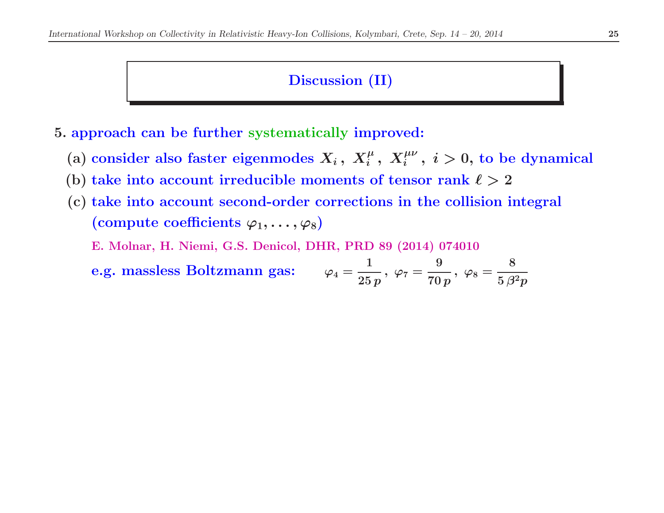## Discussion (II)

5. approach can be further systematically improved:

- (a) consider also faster eigenmodes  $X_i\, , \; X_i^{\mu}\, , \; X_i^{\mu\nu}\, , \; i > 0,$  to be dynamical
- (b) take into account irreducible moments of tensor rank  $\ell > 2$
- (c) take into account second-order corrections in the collision integral (compute coefficients  $\varphi_1, \ldots, \varphi_8$ )

E. Molnar, H. Niemi, G.S. Denicol, DHR, PRD <sup>89</sup> (2014) <sup>074010</sup>

e.g. massless Boltzmann gas: 
$$
\varphi_4 = \frac{1}{25p}, \ \varphi_7 = \frac{9}{70p}, \ \varphi_8 = \frac{8}{5\beta^2p}
$$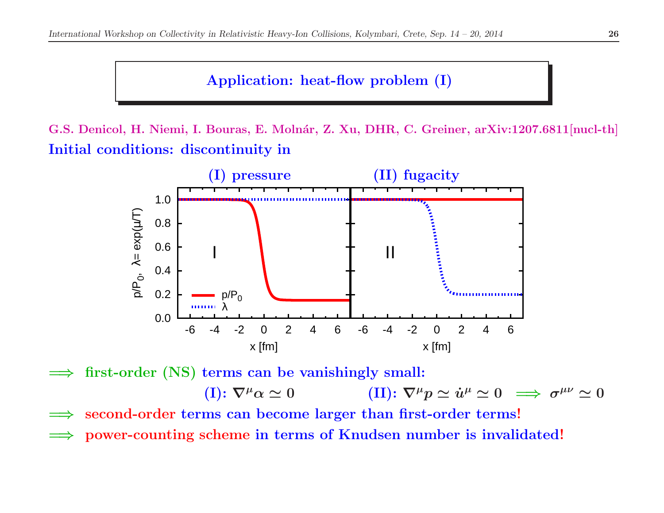# Application: heat-flow problem (I)

G.S. Denicol, H. Niemi, I. Bouras, E. Molnár, Z. Xu, DHR, C. Greiner, arXiv:1207.6811[nucl-th] Initial conditions: discontinuity in



=⇒first-order (NS) terms can be vanishingly small:

> $(\mathrm{I})\colon \nabla^{\mu}\alpha \simeq$  $\approx 0$  (II):  $\nabla^{\mu}p \simeq \dot{u}^{\mu} \simeq 0 \implies \sigma^{\mu\nu} \simeq 0$

- =⇒second-order terms can become larger than first-order terms!
- =⇒power-counting scheme in terms of Knudsen number is invalidated!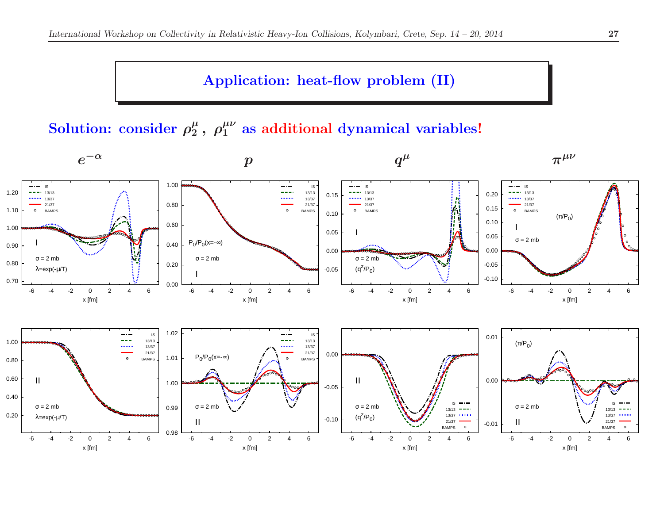## Application: heat-flow problem (II)

Solution: consider  $\rho_2^\mu\,,\ \rho_1^{\mu\nu}$  as additional dynamical variables!